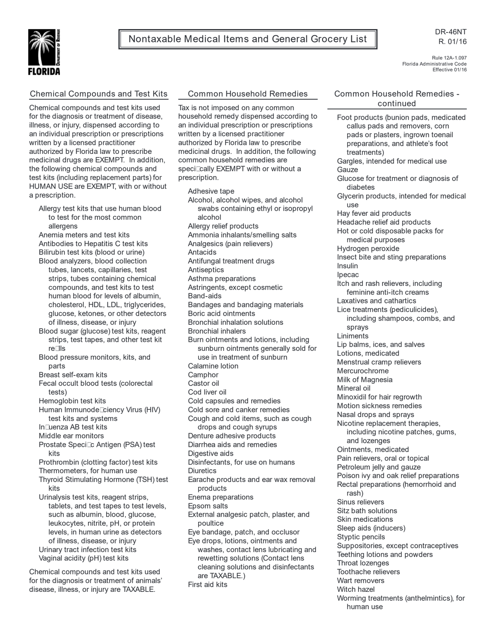Nontaxable Medical Items and General Grocery List



Rule 12A-1.097 Florida Administrative Code Effective 01/16

# Chemical Compounds and Test Kits

Chemical compounds and test kits used for the diagnosis or treatment of disease, illness, or injury, dispensed according to an individual prescription or prescriptions written by a licensed practitioner authorized by Florida law to prescribe medicinal drugs are EXEMPT. In addition, the following chemical compounds and test kits (including replacement parts) for HUMAN USE are EXEMPT, with or without a prescription.

Allergy test kits that use human blood to test for the most common allergens

Anemia meters and test kits Antibodies to Hepatitis C test kits Bilirubin test kits (blood or urine) Blood analyzers, blood collection tubes, lancets, capillaries, test strips, tubes containing chemical compounds, and test kits to test human blood for levels of albumin, cholesterol, HDL, LDL, triglycerides, glucose, ketones, or other detectors of illness, disease, or injury

- Blood sugar (glucose) test kits, reagent strips, test tapes, and other test kit rells
- Blood pressure monitors, kits, and parts
- Breast self-exam kits
- Fecal occult blood tests (colorectal tests)
- Hemoglobin test kits
- Human Immunode Ciency Virus (HIV) test kits and systems
- In Luenza AB test kits
- Middle ear monitors
- Prostate Speci⊡c Antigen (PSA) test kits
- Prothrombin (clotting factor) test kits
- Thermometers, for human use Thyroid Stimulating Hormone (TSH) test
- kits

Urinalysis test kits, reagent strips, tablets, and test tapes to test levels, such as albumin, blood, glucose, leukocytes, nitrite, pH, or protein levels, in human urine as detectors of illness, disease, or injury Urinary tract infection test kits Vaginal acidity (pH) test kits

Chemical compounds and test kits used for the diagnosis or treatment of animals' disease, illness, or injury are TAXABLE.

### Common Household Remedies

Tax is not imposed on any common household remedy dispensed according to an individual prescription or prescriptions written by a licensed practitioner authorized by Florida law to prescribe medicinal drugs. In addition, the following common household remedies are speciDcally EXEMPT with or without a prescription.

Adhesive tape Alcohol, alcohol wipes, and alcohol swabs containing ethyl or isopropyl alcohol Allergy relief products Ammonia inhalants/smelling salts Analgesics (pain relievers) Antacids Antifungal treatment drugs **Antiseptics** Asthma preparations Astringents, except cosmetic Band-aids Bandages and bandaging materials Boric acid ointments Bronchial inhalation solutions Bronchial inhalers Burn ointments and lotions, including sunburn ointments generally sold for use in treatment of sunburn Calamine lotion **Camphor** Castor oil Cod liver oil Cold capsules and remedies Cold sore and canker remedies Cough and cold items, such as cough drops and cough syrups Denture adhesive products Diarrhea aids and remedies Digestive aids Disinfectants, for use on humans **Diuretics** Earache products and ear wax removal products Enema preparations Epsom salts External analgesic patch, plaster, and poultice Eye bandage, patch, and occlusor Eye drops, lotions, ointments and washes, contact lens lubricating and rewetting solutions (Contact lens cleaning solutions and disinfectants are TAXABLE.) First aid kits

# Common Household Remedies continued

Foot products (bunion pads, medicated callus pads and removers, corn pads or plasters, ingrown toenail preparations, and athlete's foot treatments) Gargles, intended for medical use Gauze Glucose for treatment or diagnosis of diabetes Glycerin products, intended for medical use Hay fever aid products Headache relief aid products Hot or cold disposable packs for medical purposes Hydrogen peroxide Insect bite and sting preparations Insulin Ipecac Itch and rash relievers, including feminine anti-itch creams Laxatives and cathartics Lice treatments (pediculicides), including shampoos, combs, and sprays Liniments Lip balms, ices, and salves Lotions, medicated Menstrual cramp relievers Mercurochrome Milk of Magnesia Mineral oil Minoxidil for hair regrowth Motion sickness remedies Nasal drops and sprays Nicotine replacement therapies, including nicotine patches, gums, and lozenges Ointments, medicated Pain relievers, oral or topical Petroleum jelly and gauze Poison ivy and oak relief preparations Rectal preparations (hemorrhoid and rash) Sinus relievers Sitz bath solutions Skin medications Sleep aids (inducers) Styptic pencils Suppositories, except contraceptives Teething lotions and powders Throat lozenges Toothache relievers Wart removers Witch hazel Worming treatments (anthelmintics), for human use

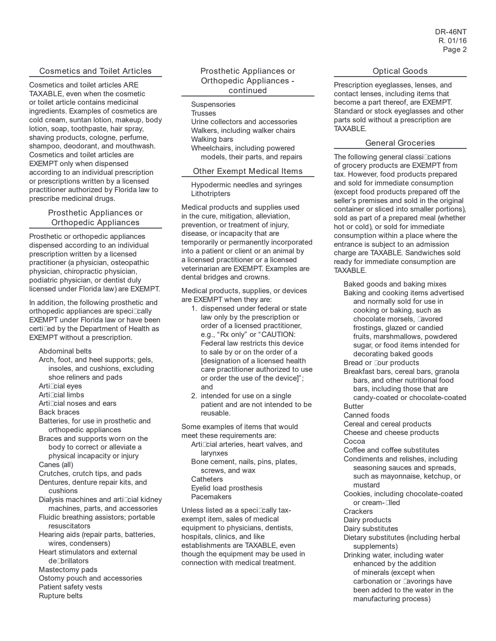### Cosmetics and Toilet Articles

Cosmetics and toilet articles ARE TAXABLE, even when the cosmetic or toilet article contains medicinal ingredients. Examples of cosmetics are cold cream, suntan lotion, makeup, body lotion, soap, toothpaste, hair spray, shaving products, cologne, perfume, shampoo, deodorant, and mouthwash. Cosmetics and toilet articles are EXEMPT only when dispensed according to an individual prescription or prescriptions written by a licensed practitioner authorized by Florida law to prescribe medicinal drugs.

# Prosthetic Appliances or Orthopedic Appliances

Prosthetic or orthopedic appliances dispensed according to an individual prescription written by a licensed practitioner (a physician, osteopathic physician, chiropractic physician, podiatric physician, or dentist duly licensed under Florida law) are EXEMPT.

In addition, the following prosthetic and orthopedic appliances are speci<sup>c</sup>cally EXEMPT under Florida law or have been certi<sup>c</sup>ed by the Department of Health as EXEMPT without a prescription.

#### Abdominal belts

- Arch, foot, and heel supports; gels, insoles, and cushions, excluding shoe reliners and pads
- Arti<sup>cial</sup> eves
- Arti<sup>cial</sup> limbs
- Articial noses and ears
- Back braces
- Batteries, for use in prosthetic and orthopedic appliances
- Braces and supports worn on the body to correct or alleviate a physical incapacity or injury Canes (all)
- Crutches, crutch tips, and pads Dentures, denture repair kits, and
- cushions
- Dialysis machines and articial kidney machines, parts, and accessories
- Fluidic breathing assistors; portable resuscitators
- Hearing aids (repair parts, batteries, wires, condensers)
- Heart stimulators and external de<sup>n</sup>brillators
- Mastectomy pads
- Ostomy pouch and accessories
- Patient safety vests
- Rupture belts

### Prosthetic Appliances or Orthopedic Appliances continued

**Suspensories** 

#### **Trusses**

Urine collectors and accessories Walkers, including walker chairs Walking bars Wheelchairs, including powered models, their parts, and repairs

#### Other Exempt Medical Items

Hypodermic needles and syringes **Lithotripters** 

Medical products and supplies used in the cure, mitigation, alleviation, prevention, or treatment of injury, disease, or incapacity that are temporarily or permanently incorporated into a patient or client or an animal by a licensed practitioner or a licensed veterinarian are EXEMPT. Examples are dental bridges and crowns.

Medical products, supplies, or devices are EXEMPT when they are:

- 1. dispensed under federal or state law only by the prescription or order of a licensed practitioner, e.g., "Rx only" or "CAUTION: Federal law restricts this device to sale by or on the order of a [designation of a licensed health care practitioner authorized to use or order the use of the device]"; and
- 2. intended for use on a single patient and are not intended to be reusable.

Some examples of items that would meet these requirements are:

- Articial arteries, heart valves, and larynxes
- Bone cement, nails, pins, plates, screws, and wax **Catheters**
- Eyelid load prosthesis Pacemakers

Unless listed as a speci⊡cally taxexempt item, sales of medical equipment to physicians, dentists, hospitals, clinics, and like establishments are TAXABLE, even though the equipment may be used in connection with medical treatment.

### Optical Goods

Prescription eyeglasses, lenses, and contact lenses, including items that become a part thereof, are EXEMPT. Standard or stock eyeglasses and other parts sold without a prescription are TAXABLE.

# General Groceries

The following general classi<sup>c</sup>cations of grocery products are EXEMPT from tax. However, food products prepared and sold for immediate consumption (except food products prepared off the seller's premises and sold in the original container or sliced into smaller portions), sold as part of a prepared meal (whether hot or cold), or sold for immediate consumption within a place where the entrance is subject to an admission charge are TAXABLE. Sandwiches sold ready for immediate consumption are TAXABLE.

Baked goods and baking mixes Baking and cooking items advertised and normally sold for use in cooking or baking, such as chocolate morsels, Lavored frostings, glazed or candied fruits, marshmallows, powdered sugar, or food items intended for decorating baked goods Bread or **Lour** products Breakfast bars, cereal bars, granola bars, and other nutritional food bars, including those that are candy-coated or chocolate-coated Butter Canned foods Cereal and cereal products Cheese and cheese products Cocoa Coffee and coffee substitutes Condiments and relishes, including seasoning sauces and spreads, such as mayonnaise, ketchup, or mustard Cookies, including chocolate-coated or cream-**Iled Crackers** Dairy products Dairy substitutes Dietary substitutes (including herbal supplements) Drinking water, including water enhanced by the addition of minerals (except when carbonation or **Lavorings** have been added to the water in the manufacturing process)